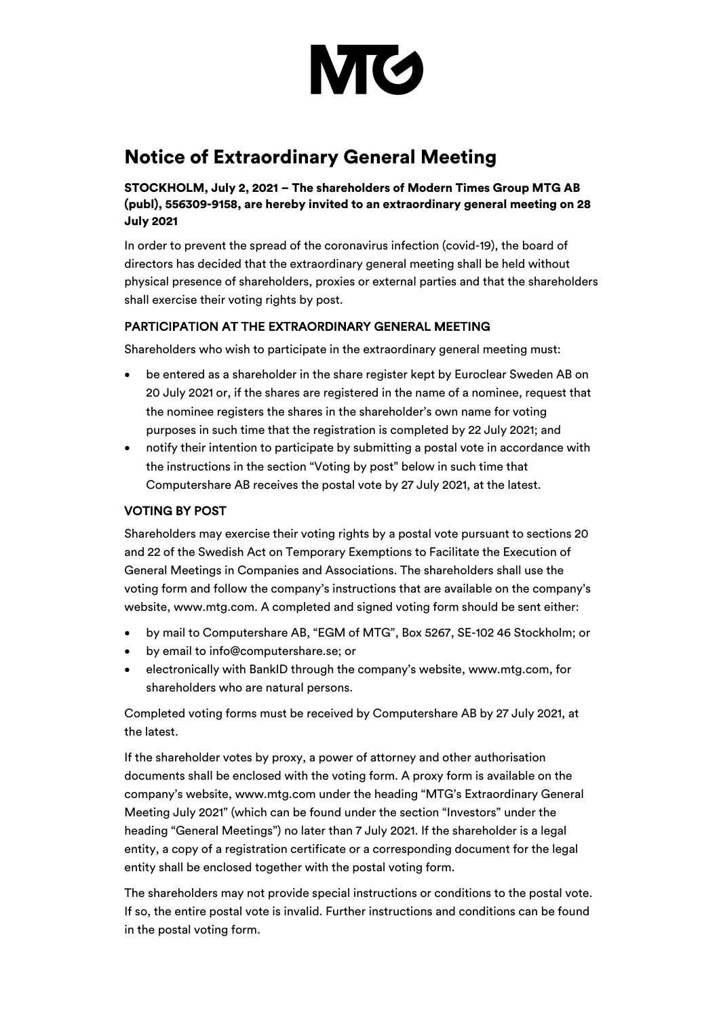

# Notice of Extraordinary General Meeting

STOCKHOLM, July 2, 2021 – The shareholders of Modern Times Group MTG AB (publ), 556309-9158, are hereby invited to an extraordinary general meeting on 28 July 2021

In order to prevent the spread of the coronavirus infection (covid-19), the board of directors has decided that the extraordinary general meeting shall be held without physical presence of shareholders, proxies or external parties and that the shareholders shall exercise their voting rights by post.

# PARTICIPATION AT THE EXTRAORDINARY GENERAL MEETING

Shareholders who wish to participate in the extraordinary general meeting must:

- be entered as a shareholder in the share register kept by Euroclear Sweden AB on 20 July 2021 or, if the shares are registered in the name of a nominee, request that the nominee registers the shares in the shareholder's own name for voting purposes in such time that the registration is completed by 22 July 2021; and
- notify their intention to participate by submitting a postal vote in accordance with the instructions in the section "Voting by post" below in such time that Computershare AB receives the postal vote by 27 July 2021, at the latest.

# VOTING BY POST

Shareholders may exercise their voting rights by a postal vote pursuant to sections 20 and 22 of the Swedish Act on Temporary Exemptions to Facilitate the Execution of General Meetings in Companies and Associations. The shareholders shall use the voting form and follow the company's instructions that are available on the company's website, www.mtg.com. A completed and signed voting form should be sent either:

- by mail to Computershare AB, "EGM of MTG", Box 5267, SE-102 46 Stockholm; or
- by email to info@computershare.se; or
- electronically with BankID through the company's website, www.mtg.com, for shareholders who are natural persons.

Completed voting forms must be received by Computershare AB by 27 July 2021, at the latest.

If the shareholder votes by proxy, a power of attorney and other authorisation documents shall be enclosed with the voting form. A proxy form is available on the company's website, www.mtg.com under the heading "MTG's Extraordinary General Meeting July 2021" (which can be found under the section "Investors" under the heading "General Meetings") no later than 7 July 2021. If the shareholder is a legal entity, a copy of a registration certificate or a corresponding document for the legal entity shall be enclosed together with the postal voting form.

The shareholders may not provide special instructions or conditions to the postal vote. If so, the entire postal vote is invalid. Further instructions and conditions can be found in the postal voting form.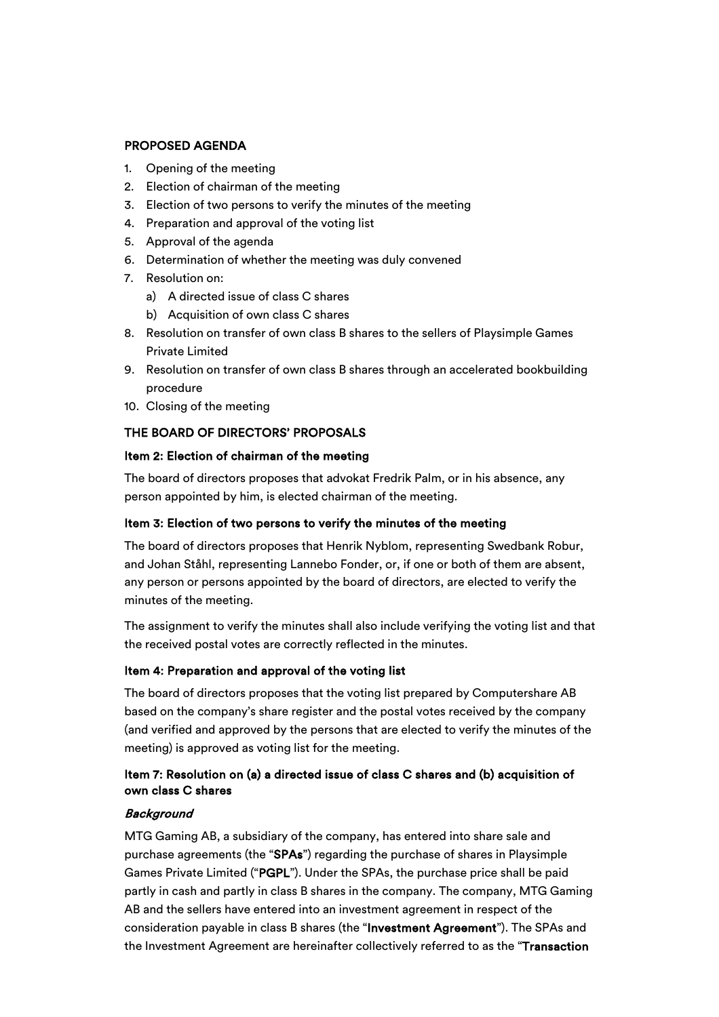# PROPOSED AGENDA

- 1. Opening of the meeting
- 2. Election of chairman of the meeting
- 3. Election of two persons to verify the minutes of the meeting
- 4. Preparation and approval of the voting list
- 5. Approval of the agenda
- 6. Determination of whether the meeting was duly convened
- 7. Resolution on:
	- a) A directed issue of class C shares
	- b) Acquisition of own class C shares
- 8. Resolution on transfer of own class B shares to the sellers of Playsimple Games Private Limited
- 9. Resolution on transfer of own class B shares through an accelerated bookbuilding procedure
- 10. Closing of the meeting

# THE BOARD OF DIRECTORS' PROPOSALS

## Item 2: Election of chairman of the meeting

The board of directors proposes that advokat Fredrik Palm, or in his absence, any person appointed by him, is elected chairman of the meeting.

## Item 3: Election of two persons to verify the minutes of the meeting

The board of directors proposes that Henrik Nyblom, representing Swedbank Robur, and Johan Ståhl, representing Lannebo Fonder, or, if one or both of them are absent, any person or persons appointed by the board of directors, are elected to verify the minutes of the meeting.

The assignment to verify the minutes shall also include verifying the voting list and that the received postal votes are correctly reflected in the minutes.

## Item 4: Preparation and approval of the voting list

The board of directors proposes that the voting list prepared by Computershare AB based on the company's share register and the postal votes received by the company (and verified and approved by the persons that are elected to verify the minutes of the meeting) is approved as voting list for the meeting.

# Item 7: Resolution on (a) a directed issue of class C shares and (b) acquisition of own class C shares

## **Background**

MTG Gaming AB, a subsidiary of the company, has entered into share sale and purchase agreements (the "SPAs") regarding the purchase of shares in Playsimple Games Private Limited ("PGPL"). Under the SPAs, the purchase price shall be paid partly in cash and partly in class B shares in the company. The company, MTG Gaming AB and the sellers have entered into an investment agreement in respect of the consideration payable in class B shares (the "Investment Agreement"). The SPAs and the Investment Agreement are hereinafter collectively referred to as the "Transaction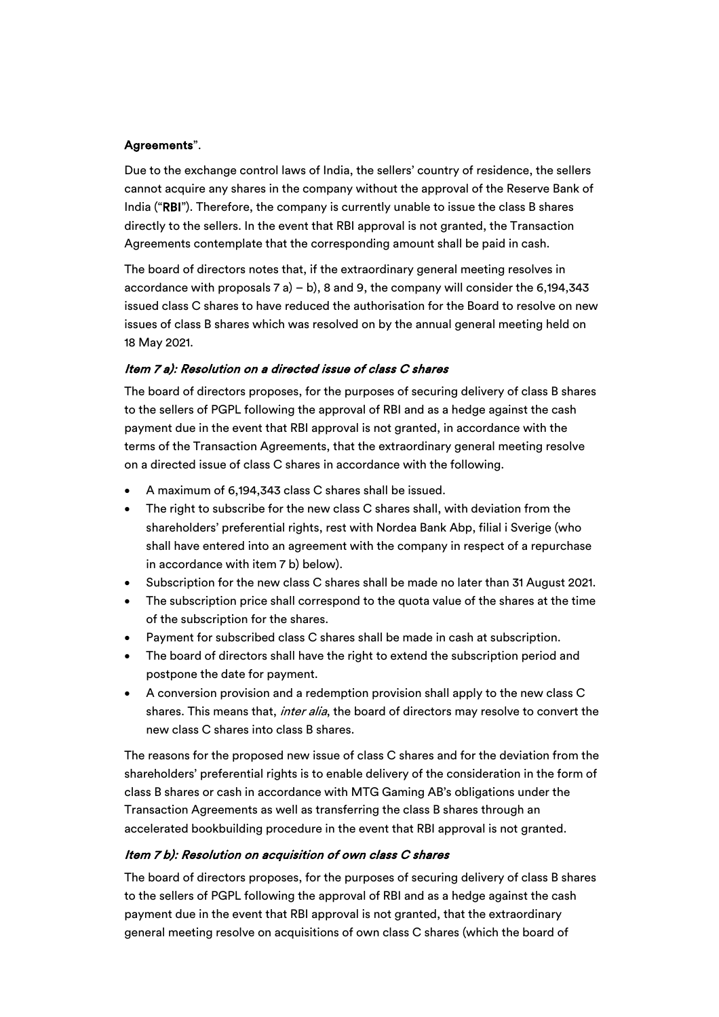## Agreements".

Due to the exchange control laws of India, the sellers' country of residence, the sellers cannot acquire any shares in the company without the approval of the Reserve Bank of India ("RBI"). Therefore, the company is currently unable to issue the class B shares directly to the sellers. In the event that RBI approval is not granted, the Transaction Agreements contemplate that the corresponding amount shall be paid in cash.

The board of directors notes that, if the extraordinary general meeting resolves in accordance with proposals  $7 a$ ) – b), 8 and 9, the company will consider the 6,194,343 issued class C shares to have reduced the authorisation for the Board to resolve on new issues of class B shares which was resolved on by the annual general meeting held on 18 May 2021.

# Item 7 a): Resolution on a directed issue of class C shares

The board of directors proposes, for the purposes of securing delivery of class B shares to the sellers of PGPL following the approval of RBI and as a hedge against the cash payment due in the event that RBI approval is not granted, in accordance with the terms of the Transaction Agreements, that the extraordinary general meeting resolve on a directed issue of class C shares in accordance with the following.

- A maximum of 6,194,343 class C shares shall be issued.
- The right to subscribe for the new class C shares shall, with deviation from the shareholders' preferential rights, rest with Nordea Bank Abp, filial i Sverige (who shall have entered into an agreement with the company in respect of a repurchase in accordance with item 7 b) below).
- Subscription for the new class C shares shall be made no later than 31 August 2021.
- The subscription price shall correspond to the quota value of the shares at the time of the subscription for the shares.
- Payment for subscribed class C shares shall be made in cash at subscription.
- The board of directors shall have the right to extend the subscription period and postpone the date for payment.
- A conversion provision and a redemption provision shall apply to the new class C shares. This means that, *inter alia*, the board of directors may resolve to convert the new class C shares into class B shares.

The reasons for the proposed new issue of class C shares and for the deviation from the shareholders' preferential rights is to enable delivery of the consideration in the form of class B shares or cash in accordance with MTG Gaming AB's obligations under the Transaction Agreements as well as transferring the class B shares through an accelerated bookbuilding procedure in the event that RBI approval is not granted.

# Item 7 b): Resolution on acquisition of own class C shares

The board of directors proposes, for the purposes of securing delivery of class B shares to the sellers of PGPL following the approval of RBI and as a hedge against the cash payment due in the event that RBI approval is not granted, that the extraordinary general meeting resolve on acquisitions of own class C shares (which the board of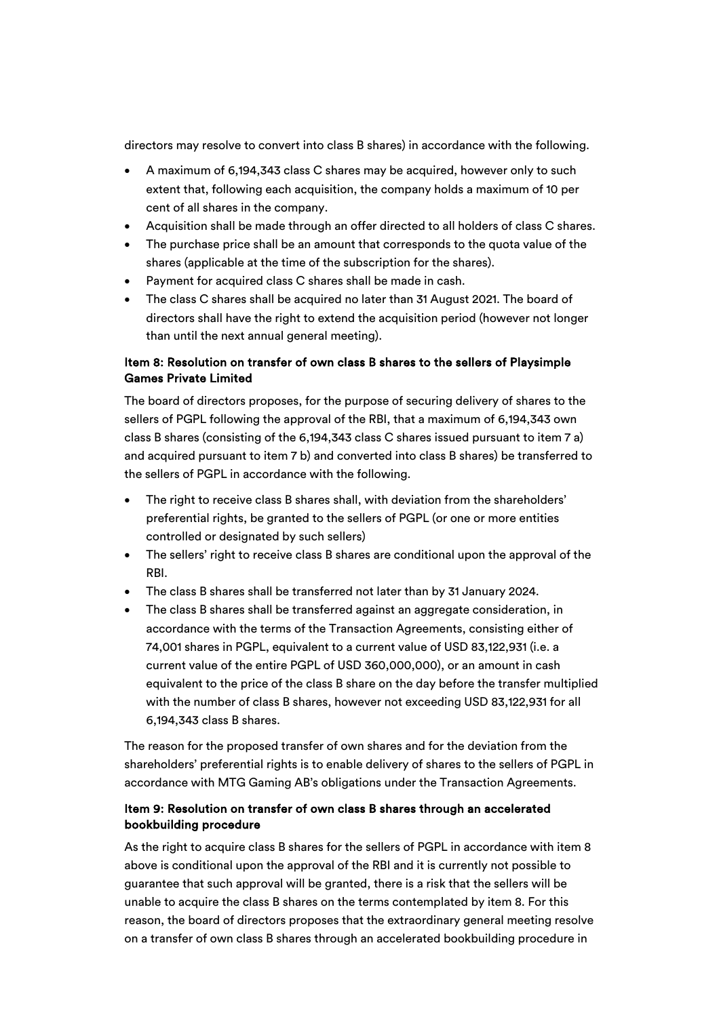directors may resolve to convert into class B shares) in accordance with the following.

- A maximum of 6,194,343 class C shares may be acquired, however only to such extent that, following each acquisition, the company holds a maximum of 10 per cent of all shares in the company.
- Acquisition shall be made through an offer directed to all holders of class C shares.
- The purchase price shall be an amount that corresponds to the quota value of the shares (applicable at the time of the subscription for the shares).
- Payment for acquired class C shares shall be made in cash.
- The class C shares shall be acquired no later than 31 August 2021. The board of directors shall have the right to extend the acquisition period (however not longer than until the next annual general meeting).

# Item 8: Resolution on transfer of own class B shares to the sellers of Playsimple Games Private Limited

The board of directors proposes, for the purpose of securing delivery of shares to the sellers of PGPL following the approval of the RBI, that a maximum of 6,194,343 own class B shares (consisting of the 6,194,343 class C shares issued pursuant to item 7 a) and acquired pursuant to item 7 b) and converted into class B shares) be transferred to the sellers of PGPL in accordance with the following.

- The right to receive class B shares shall, with deviation from the shareholders' preferential rights, be granted to the sellers of PGPL (or one or more entities controlled or designated by such sellers)
- The sellers' right to receive class B shares are conditional upon the approval of the RBI.
- The class B shares shall be transferred not later than by 31 January 2024.
- The class B shares shall be transferred against an aggregate consideration, in accordance with the terms of the Transaction Agreements, consisting either of 74,001 shares in PGPL, equivalent to a current value of USD 83,122,931 (i.e. a current value of the entire PGPL of USD 360,000,000), or an amount in cash equivalent to the price of the class B share on the day before the transfer multiplied with the number of class B shares, however not exceeding USD 83,122,931 for all 6,194,343 class B shares.

The reason for the proposed transfer of own shares and for the deviation from the shareholders' preferential rights is to enable delivery of shares to the sellers of PGPL in accordance with MTG Gaming AB's obligations under the Transaction Agreements.

# Item 9: Resolution on transfer of own class B shares through an accelerated bookbuilding procedure

As the right to acquire class B shares for the sellers of PGPL in accordance with item 8 above is conditional upon the approval of the RBI and it is currently not possible to guarantee that such approval will be granted, there is a risk that the sellers will be unable to acquire the class B shares on the terms contemplated by item 8. For this reason, the board of directors proposes that the extraordinary general meeting resolve on a transfer of own class B shares through an accelerated bookbuilding procedure in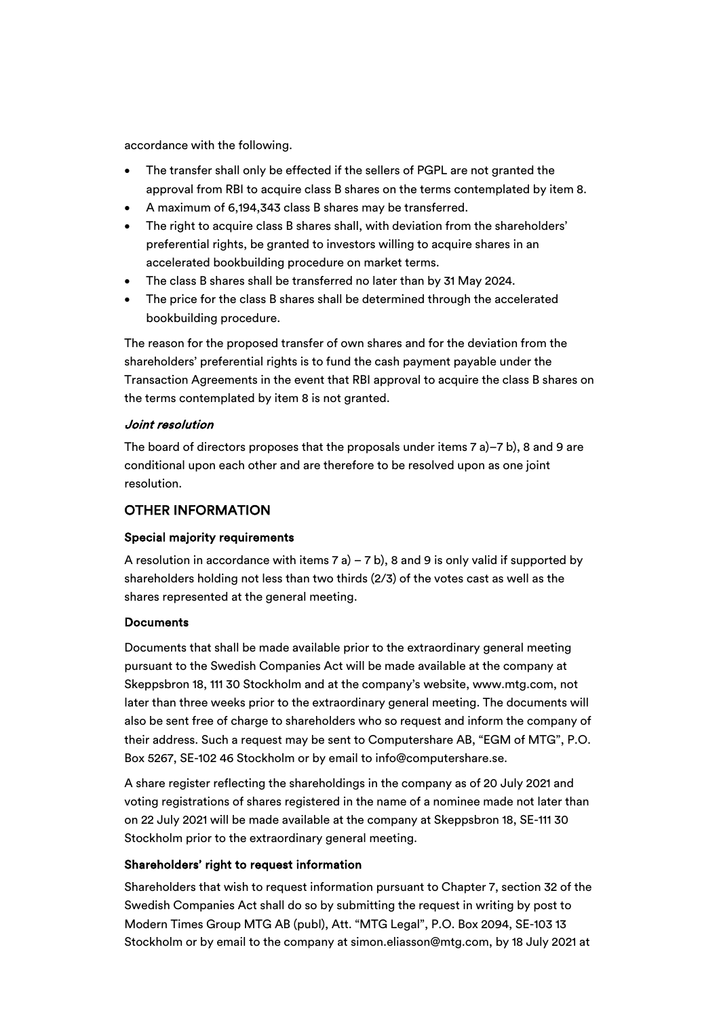accordance with the following.

- The transfer shall only be effected if the sellers of PGPL are not granted the approval from RBI to acquire class B shares on the terms contemplated by item 8.
- A maximum of 6,194,343 class B shares may be transferred.
- The right to acquire class B shares shall, with deviation from the shareholders' preferential rights, be granted to investors willing to acquire shares in an accelerated bookbuilding procedure on market terms.
- The class B shares shall be transferred no later than by 31 May 2024.
- The price for the class B shares shall be determined through the accelerated bookbuilding procedure.

The reason for the proposed transfer of own shares and for the deviation from the shareholders' preferential rights is to fund the cash payment payable under the Transaction Agreements in the event that RBI approval to acquire the class B shares on the terms contemplated by item 8 is not granted.

#### Joint resolution

The board of directors proposes that the proposals under items 7 a)–7 b), 8 and 9 are conditional upon each other and are therefore to be resolved upon as one joint resolution.

## OTHER INFORMATION

#### Special majority requirements

A resolution in accordance with items  $7 a$ ) –  $7 b$ ), 8 and 9 is only valid if supported by shareholders holding not less than two thirds (2/3) of the votes cast as well as the shares represented at the general meeting.

#### **Documents**

Documents that shall be made available prior to the extraordinary general meeting pursuant to the Swedish Companies Act will be made available at the company at Skeppsbron 18, 111 30 Stockholm and at the company's website, www.mtg.com, not later than three weeks prior to the extraordinary general meeting. The documents will also be sent free of charge to shareholders who so request and inform the company of their address. Such a request may be sent to Computershare AB, "EGM of MTG", P.O. Box 5267, SE-102 46 Stockholm or by email to info@computershare.se.

A share register reflecting the shareholdings in the company as of 20 July 2021 and voting registrations of shares registered in the name of a nominee made not later than on 22 July 2021 will be made available at the company at Skeppsbron 18, SE-111 30 Stockholm prior to the extraordinary general meeting.

#### Shareholders' right to request information

Shareholders that wish to request information pursuant to Chapter 7, section 32 of the Swedish Companies Act shall do so by submitting the request in writing by post to Modern Times Group MTG AB (publ), Att. "MTG Legal", P.O. Box 2094, SE-103 13 Stockholm or by email to the company at simon.eliasson@mtg.com, by 18 July 2021 at